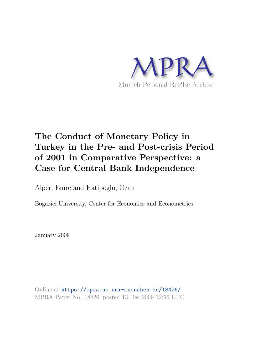

# **The Conduct of Monetary Policy in Turkey in the Pre- and Post-crisis Period of 2001 in Comparative Perspective: a Case for Central Bank Independence**

Alper, Emre and Hatipoglu, Ozan

Bogazici University, Center for Economics and Econometrics

January 2009

Online at https://mpra.ub.uni-muenchen.de/18426/ MPRA Paper No. 18426, posted 13 Dec 2009 12:56 UTC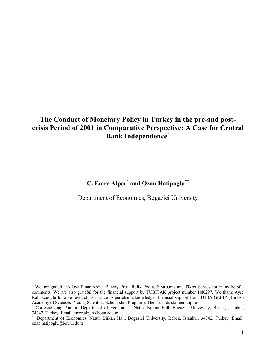# The Conduct of Monetary Policy in Turkey in the pre-and postcrisis Period of 2001 in Comparative Perspective: A Case for Central **Bank Independence**

# C. Emre Alper<sup>†</sup> and Ozan Hatipoglu<sup>††</sup>

Department of Economics, Bogazici University

<sup>\*</sup> We are grateful to Oya Pinar Ardic, Burcay Erus, Refik Erzan, Ziya Onis and Fikret Senses for many helpful comments. We are also grateful for the financial support by TUBITAK project number 10K297. We thank Ayse Kabukcuoglu for able research assistance. Alper also acknowledges financial support from TUBA-GEBIP (Turkish Academy of Sciences - Young Scientists Scholarship Program). The usual disclaimer applies.

<sup>&</sup>lt;sup>†</sup> Corresponding Author. Department of Economics. Natuk Birkan Hall. Bogazici University, Bebek, Istanbul, 34342, Turkey. Email: emre.alper@boun.edu.tr.

<sup>&</sup>lt;sup>††</sup> Department of Economics. Natuk Birkan Hall. Bogazici University, Bebek, Istanbul, 34342, Turkey. Email: ozan.hatipoglu@boun.edu.tr.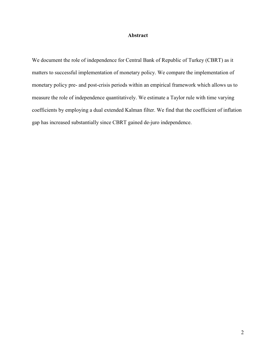#### **Abstract**

We document the role of independence for Central Bank of Republic of Turkey (CBRT) as it matters to successful implementation of monetary policy. We compare the implementation of monetary policy pre- and post-crisis periods within an empirical framework which allows us to measure the role of independence quantitatively. We estimate a Taylor rule with time varying coefficients by employing a dual extended Kalman filter. We find that the coefficient of inflation gap has increased substantially since CBRT gained de-juro independence.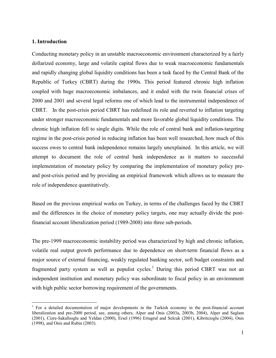#### **1.** Introduction

Conducting monetary policy in an unstable macroeconomic environment characterized by a fairly dollarized economy, large and volatile capital flows due to weak macroeconomic fundamentals and rapidly changing global liquidity conditions has been a task faced by the Central Bank of the Republic of Turkey (CBRT) during the 1990s. This period featured chronic high inflation coupled with huge macroeconomic imbalances, and it ended with the twin financial crises of 2000 and 2001 and several legal reforms one of which lead to the instrumental independence of CBRT. In the post-crisis period CBRT has redefined its role and reverted to inflation targeting under stronger macroeconomic fundamentals and more favorable global liquidity conditions. The chronic high inflation fell to single digits. While the role of central bank and inflation-targeting regime in the post-crisis period in reducing inflation has been well researched, how much of this success owes to central bank independence remains largely unexplained. In this article, we will attempt to document the role of central bank independence as it matters to successful implementation of monetary policy by comparing the implementation of monetary policy preand post-crisis period and by providing an empirical framework which allows us to measure the role of independence quantitatively.

Based on the previous empirical works on Turkey, in terms of the challenges faced by the CBRT and the differences in the choice of monetary policy targets, one may actually divide the postfinancial account liberalization period (1989-2008) into three sub-periods.

The pre-1999 macroeconomic instability period was characterized by high and chronic inflation, volatile real output growth performance due to dependence on short-term financial flows as a major source of external financing, weakly regulated banking sector, soft budget constraints and fragmented party system as well as populist cycles.<sup>1</sup> During this period CBRT was not an independent institution and monetary policy was subordinate to fiscal policy in an environment with high public sector borrowing requirement of the governments.

<sup>&</sup>lt;sup>1</sup> For a detailed documentation of major developments in the Turkish economy in the post-financial account liberalization and pre-2000 period, see, among others, Alper and Onis (2003a, 2003b, 2004), Alper and Saglam (2001), Cizre-Sakallıoglu and Yeldan (2000), Ersel (1996) Ertugrul and Selcuk (2001), Kibritcioglu (2004), Onis (1998), and Onis and Rubin (2003).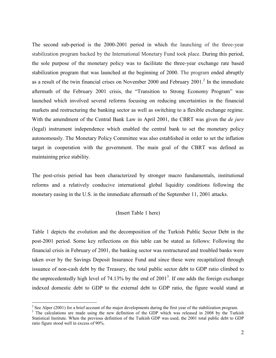The second sub-period is the  $2000-2001$  period in which the launching of the three-year stabilization program backed by the International Monetary Fund took place. During this period, the sole purpose of the monetary policy was to facilitate the three-year exchange rate based stabilization program that was launched at the beginning of 2000. The program ended abruptly as a result of the twin financial crises on November 2000 and February 2001.<sup>2</sup> In the immediate aftermath of the February 2001 crisis, the "Transition to Strong Economy Program" was launched which involved several reforms focusing on reducing uncertainties in the financial markets and restructuring the banking sector as well as switching to a flexible exchange regime. With the amendment of the Central Bank Law in April 2001, the CBRT was given the *de jure* (legal) instrument independence which enabled the central bank to set the monetary policy autonomously. The Monetary Policy Committee was also established in order to set the inflation target in cooperation with the government. The main goal of the CBRT was defined as maintaining price stability.

The post-crisis period has been characterized by stronger macro fundamentals, institutional reforms and a relatively conducive international global liquidity conditions following the monetary easing in the U.S. in the immediate aftermath of the September 11, 2001 attacks.

#### (Insert Table 1 here)

Table 1 depicts the evolution and the decomposition of the Turkish Public Sector Debt in the post-2001 period. Some key reflections on this table can be stated as follows: Following the financial crisis in February of 2001, the banking sector was restructured and troubled banks were taken over by the Savings Deposit Insurance Fund and since these were recapitalized through issuance of non-cash debt by the Treasury, the total public sector debt to GDP ratio climbed to the unprecedentedly high level of 74.13% by the end of  $2001<sup>3</sup>$ . If one adds the foreign exchange indexed domestic debt to GDP to the external debt to GDP ratio, the figure would stand at

<sup>&</sup>lt;sup>2</sup> See Alper (2001) for a brief account of the major developments during the first year of the stabilization program.

<sup>&</sup>lt;sup>3</sup> The calculations are made using the new definition of the GDP which was released in 2008 by the Turkish Statistical Institute. When the previous definition of the Turkish GDP was used, the 2001 total public debt to GDP ratio figure stood well in excess of 90%.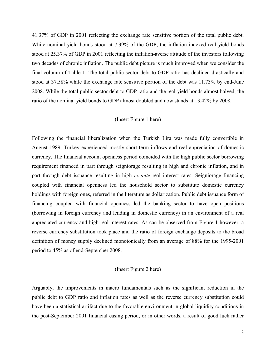41.37% of GDP in 2001 reflecting the exchange rate sensitive portion of the total public debt. While nominal yield bonds stood at 7.39% of the GDP, the inflation indexed real yield bonds stood at 25.37% of GDP in 2001 reflecting the inflation-averse attitude of the investors following two decades of chronic inflation. The public debt picture is much improved when we consider the final column of Table 1. The total public sector debt to GDP ratio has declined drastically and stood at  $37.58\%$  while the exchange rate sensitive portion of the debt was  $11.73\%$  by end-June 2008. While the total public sector debt to GDP ratio and the real yield bonds almost halved, the ratio of the nominal yield bonds to GDP almost doubled and now stands at 13.42% by 2008.

# (Insert Figure 1 here)

Following the financial liberalization when the Turkish Lira was made fully convertible in August 1989, Turkey experienced mostly short-term inflows and real appreciation of domestic currency. The financial account openness period coincided with the high public sector borrowing requirement financed in part through seigniorage resulting in high and chronic inflation, and in part through debt issuance resulting in high *ex-ante* real interest rates. Seigniorage financing coupled with financial openness led the household sector to substitute domestic currency holdings with foreign ones, referred in the literature as dollarization. Public debt issuance form of financing coupled with financial openness led the banking sector to have open positions (borrowing in foreign currency and lending in domestic currency) in an environment of a real appreciated currency and high real interest rates. As can be observed from Figure 1 however, a reverse currency substitution took place and the ratio of foreign exchange deposits to the broad definition of money supply declined monotonically from an average of 88% for the 1995-2001 period to 45% as of end-September 2008.

### (Insert Figure 2 here)

Arguably, the improvements in macro fundamentals such as the significant reduction in the public debt to GDP ratio and inflation rates as well as the reverse currency substitution could have been a statistical artifact due to the favorable environment in global liquidity conditions in the post-September 2001 financial easing period, or in other words, a result of good luck rather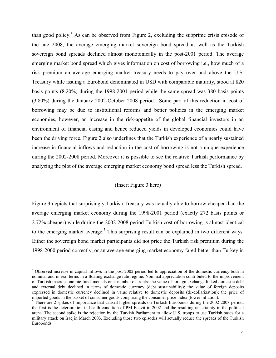than good policy.<sup>4</sup> As can be observed from Figure 2, excluding the subprime crisis episode of the late 2008, the average emerging market sovereign bond spread as well as the Turkish sovereign bond spreads declined almost monotonically in the post-2001 period. The average emerging market bond spread which gives information on cost of borrowing i.e., how much of a risk premium an average emerging market treasury needs to pay over and above the U.S. Treasury while issuing a Eurobond denominated in USD with comparable maturity, stood at 820 basis points  $(8.20\%)$  during the 1998-2001 period while the same spread was 380 basis points  $(3.80\%)$  during the January 2002-October 2008 period. Some part of this reduction in cost of borrowing may be due to institutional reforms and better policies in the emerging market economies, however, an increase in the risk-appetite of the global financial investors in an environment of financial easing and hence reduced yields in developed economies could have been the driving force. Figure 2 also underlines that the Turkish experience of a nearly sustained increase in financial inflows and reduction in the cost of borrowing is not a unique experience during the 2002-2008 period. Moreover it is possible to see the relative Turkish performance by analyzing the plot of the average emerging market economy bond spread less the Turkish spread.

# (Insert Figure 3 here)

Figure 3 depicts that surprisingly Turkish Treasury was actually able to borrow cheaper than the average emerging market economy during the 1998-2001 period (exactly 272 basis points or 2.72% cheaper) while during the 2002-2008 period Turkish cost of borrowing is almost identical to the emerging market average.<sup>5</sup> This surprising result can be explained in two different ways. Either the sovereign bond market participants did not price the Turkish risk premium during the 1998-2000 period correctly, or an average emerging market economy fared better than Turkey in

<sup>&</sup>lt;sup>4</sup> Observed increase in capital inflows in the post-2002 period led to appreciation of the domestic currency both in nominal and in real terms in a floating exchange rate regime. Nominal appreciation contributed to the improvement of Turkish macroeconomic fundamentals on a number of fronts: the value of foreign exchange linked domestic debt and external debt declined in terms of domestic currency (debt sustainability); the value of foreign deposits expressed in domestic currency declined in value relative to domestic deposits (de-dollarization); the price of imported goods in the basket of consumer goods comprising the consumer price index (lower inflation).

 $<sup>5</sup>$  There are 2 spikes of importance that caused higher spreads on Turkish Eurobonds during the 2002-2008 period:</sup> the first is the deterioration in health condition of PM Ecevit in 2002 and the resulting uncertainty in the political arena. The second spike is the rejection by the Turkish Parliament to allow U.S. troops to use Turkish bases for a military attack on Iraq in March 2003. Excluding those two episodes will actually reduce the spreads of the Turkish Eurobonds.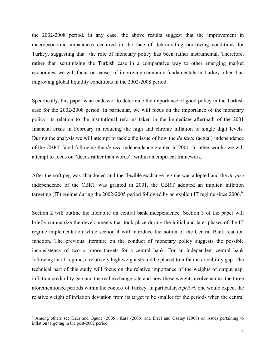the  $2002-2008$  period. In any case, the above results suggest that the improvement in macroeconomic imbalances occurred in the face of deteriorating borrowing conditions for Turkey, suggesting that the role of monetary policy has been rather instrumental. Therefore, rather than scrutinizing the Turkish case in a comparative way to other emerging market economies, we will focus on causes of improving economic fundamentals in Turkey other than improving global liquidity conditions in the 2002-2008 period.

Specifically, this paper is an endeavor to determine the importance of good policy in the Turkish case for the  $2002-2008$  period. In particular, we will focus on the importance of the monetary policy, its relation to the institutional reforms taken in the immediate aftermath of the 2001 financial crisis in February in reducing the high and chronic inflation to single digit levels. During the analysis we will attempt to tackle the issue of how the *de facto* (actual) independence of the CBRT fared following the *de jure* independence granted in 2001. In other words, we will attempt to focus on "deeds rather than words", within an empirical framework.

After the soft peg was abandoned and the flexible exchange regime was adopted and the *de jure* independence of the CBRT was granted in 2001, the CBRT adopted an implicit inflation targeting (IT) regime during the 2002-2005 period followed by an explicit IT regime since  $2006$ .<sup>6</sup>

Section 2 will outline the literature on central bank independence. Section 3 of the paper will briefly summarize the developments that took place during the initial and later phases of the IT regime implementation while section 4 will introduce the notion of the Central Bank reaction function. The previous literature on the conduct of monetary policy suggests the possible inconsistency of two or more targets for a central bank. For an independent central bank following an IT regime, a relatively high weight should be placed to inflation credibility gap. The technical part of this study will focus on the relative importance of the weights of output gap, inflation credibility gap and the real exchange rate and how these weights evolve across the three aforementioned periods within the context of Turkey. In particular, *a priori*, one would expect the relative weight of inflation deviation from its target to be smaller for the periods when the central

 6 Among others see Kara and Ogunc (2005), Kara (2006) and Ersel and Ozatay (2008) on issues pertaining to inflation targeting in the post-2002 period.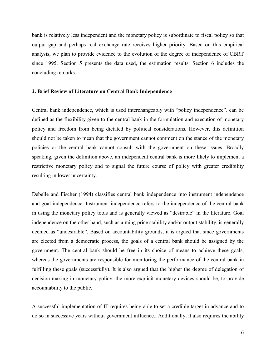bank is relatively less independent and the monetary policy is subordinate to fiscal policy so that output gap and perhaps real exchange rate receives higher priority. Based on this empirical analysis, we plan to provide evidence to the evolution of the degree of independence of CBRT since 1995. Section 5 presents the data used, the estimation results. Section 6 includes the concluding remarks.

#### 2. Brief Review of Literature on Central Bank Independence

Central bank independence, which is used interchangeably with "policy independence"*,* can be defined as the flexibility given to the central bank in the formulation and execution of monetary policy and freedom from being dictated by political considerations. However, this definition should not be taken to mean that the government cannot comment on the stance of the monetary policies or the central bank cannot consult with the government on these issues. Broadly speaking, given the definition above, an independent central bank is more likely to implement a restrictive monetary policy and to signal the future course of policy with greater credibility resulting in lower uncertainty.

Debelle and Fischer (1994) classifies central bank independence into instrument independence and goal independence. Instrument independence refers to the independence of the central bank in using the monetary policy tools and is generally viewed as "desirable" in the literature. Goal independence on the other hand, such as aiming price stability and/or output stability, is generally deemed as "undesirable". Based on accountability grounds, it is argued that since governments are elected from a democratic process, the goals of a central bank should be assigned by the government. The central bank should be free in its choice of means to achieve these goals, whereas the governments are responsible for monitoring the performance of the central bank in fulfilling these goals (successfully). It is also argued that the higher the degree of delegation of decision-making in monetary policy, the more explicit monetary devices should be, to provide accountability to the public.

A successful implementation of IT requires being able to set a credible target in advance and to do so in successive years without government influence.. Additionally, it also requires the ability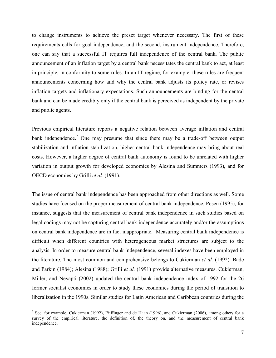to change instruments to achieve the preset target whenever necessary. The first of these requirements calls for goal independence, and the second, instrument independence. Therefore, one can say that a successful IT requires full independence of the central bank. The public announcement of an inflation target by a central bank necessitates the central bank to act, at least in principle, in conformity to some rules. In an IT regime, for example, these rules are frequent announcements concerning how and why the central bank adjusts its policy rate, or revises inflation targets and inflationary expectations. Such announcements are binding for the central bank and can be made credibly only if the central bank is perceived as independent by the private and public agents.

Previous empirical literature reports a negative relation between average inflation and central bank independence.<sup>7</sup> One may presume that since there may be a trade-off between output stabilization and inflation stabilization, higher central bank independence may bring about real costs. However, a higher degree of central bank autonomy is found to be unrelated with higher variation in output growth for developed economies by Alesina and Summers (1993), and for OECD economies by Grilli *et al.* (1991).

The issue of central bank independence has been approached from other directions as well. Some studies have focused on the proper measurement of central bank independence. Posen (1995), for instance, suggests that the measurement of central bank independence in such studies based on legal codings may not be capturing central bank independence accurately and/or the assumptions on central bank independence are in fact inappropriate. Measuring central bank independence is difficult when different countries with heterogeneous market structures are subject to the analysis. In order to measure central bank independence, several indexes have been employed in the literature. The most common and comprehensive belongs to Cukierman *et al.* (1992). Bade and Parkin (1984); Alesina (1988); Grilli *et al.* (1991) provide alternative measures. Cukierman, Miller, and Neyapti (2002) updated the central bank independence index of 1992 for the 26 former socialist economies in order to study these economies during the period of transition to liberalization in the 1990s. Similar studies for Latin American and Caribbean countries during the

<sup>&</sup>lt;sup>7</sup> See, for example, Cukierman (1992), Eijffinger and de Haan (1996), and Cukierman (2006), among others for a survey of the empirical literature, the definition of, the theory on, and the measurement of central bank independence.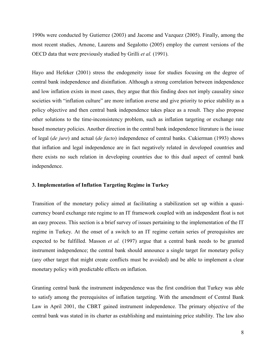1990s were conducted by Gutierrez (2003) and Jacome and Vazquez (2005). Finally, among the most recent studies, Arnone, Laurens and Segalotto (2005) employ the current versions of the OECD data that were previously studied by Grilli *et al.* (1991).

Hayo and Hefeker (2001) stress the endogeneity issue for studies focusing on the degree of central bank independence and disinflation. Although a strong correlation between independence and low inflation exists in most cases, they argue that this finding does not imply causality since societies with "inflation culture" are more inflation averse and give priority to price stability as a policy objective and then central bank independence takes place as a result. They also propose other solutions to the time-inconsistency problem, such as inflation targeting or exchange rate based monetary policies. Another direction in the central bank independence literature is the issue of legal (*de jure*) and actual (*de facto*) independence of central banks. Cukierman (1993) shows that inflation and legal independence are in fact negatively related in developed countries and there exists no such relation in developing countries due to this dual aspect of central bank independence.

#### 3. Implementation of Inflation Targeting Regime in Turkey

Transition of the monetary policy aimed at facilitating a stabilization set up within a quasicurrency board exchange rate regime to an IT framework coupled with an independent float is not an easy process. This section is a brief survey of issues pertaining to the implementation of the IT regime in Turkey. At the onset of a switch to an IT regime certain series of prerequisites are expected to be fulfilled. Masson *et al.* (1997) argue that a central bank needs to be granted instrument independence; the central bank should announce a single target for monetary policy (any other target that might create conflicts must be avoided) and be able to implement a clear monetary policy with predictable effects on inflation.

Granting central bank the instrument independence was the first condition that Turkey was able to satisfy among the prerequisites of inflation targeting. With the amendment of Central Bank Law in April 2001, the CBRT gained instrument independence. The primary objective of the central bank was stated in its charter as establishing and maintaining price stability. The law also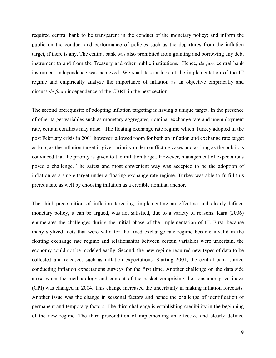required central bank to be transparent in the conduct of the monetary policy; and inform the public on the conduct and performance of policies such as the departures from the inflation target, if there is any. The central bank was also prohibited from granting and borrowing any debt instrument to and from the Treasury and other public institutions. Hence, *de jure* central bank instrument independence was achieved. We shall take a look at the implementation of the IT regime and empirically analyze the importance of inflation as an objective empirically and discuss *de facto* independence of the CBRT in the next section.

The second prerequisite of adopting inflation targeting is having a unique target. In the presence of other target variables such as monetary aggregates, nominal exchange rate and unemployment rate, certain conflicts may arise. The floating exchange rate regime which Turkey adopted in the post February crisis in 2001 however, allowed room for both an inflation and exchange rate target as long as the inflation target is given priority under conflicting cases and as long as the public is convinced that the priority is given to the inflation target. However, management of expectations posed a challenge. The safest and most convenient way was accepted to be the adoption of inflation as a single target under a floating exchange rate regime. Turkey was able to fulfill this prerequisite as well by choosing inflation as a credible nominal anchor.

The third precondition of inflation targeting, implementing an effective and clearly-defined monetary policy, it can be argued, was not satisfied, due to a variety of reasons. Kara (2006) enumerates the challenges during the initial phase of the implementation of IT. First, because many stylized facts that were valid for the fixed exchange rate regime became invalid in the floating exchange rate regime and relationships between certain variables were uncertain, the economy could not be modeled easily. Second, the new regime required new types of data to be collected and released, such as inflation expectations. Starting 2001, the central bank started conducting inflation expectations surveys for the first time. Another challenge on the data side arose when the methodology and content of the basket comprising the consumer price index (CPI) was changed in 2004. This change increased the uncertainty in making inflation forecasts. Another issue was the change in seasonal factors and hence the challenge of identification of permanent and temporary factors. The third challenge is establishing credibility in the beginning of the new regime. The third precondition of implementing an effective and clearly defined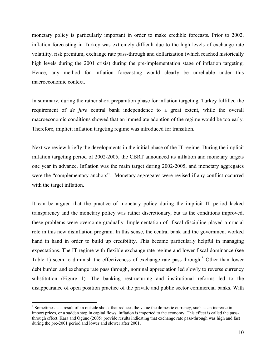monetary policy is particularly important in order to make credible forecasts. Prior to 2002, inflation forecasting in Turkey was extremely difficult due to the high levels of exchange rate volatility, risk premium, exchange rate pass-through and dollarization (which reached historically high levels during the 2001 crisis) during the pre-implementation stage of inflation targeting. Hence, any method for inflation forecasting would clearly be unreliable under this macroeconomic context.

In summary, during the rather short preparation phase for inflation targeting, Turkey fulfilled the requirement of *de jure* central bank independence to a great extent, while the overall macroeconomic conditions showed that an immediate adoption of the regime would be too early. Therefore, implicit inflation targeting regime was introduced for transition.

Next we review briefly the developments in the initial phase of the IT regime. During the implicit inflation targeting period of 2002-2005, the CBRT announced its inflation and monetary targets one year in advance. Inflation was the main target during 2002-2005, and monetary aggregates were the "complementary anchors". Monetary aggregates were revised if any conflict occurred with the target inflation.

It can be argued that the practice of monetary policy during the implicit IT period lacked transparency and the monetary policy was rather discretionary, but as the conditions improved, these problems were overcome gradually. Implementation of fiscal discipline played a crucial role in this new disinflation program. In this sense, the central bank and the government worked hand in hand in order to build up credibility. This became particularly helpful in managing expectations. The IT regime with flexible exchange rate regime and lower fiscal dominance (see Table 1) seem to diminish the effectiveness of exchange rate pass-through.<sup>8</sup> Other than lower debt burden and exchange rate pass through, nominal appreciation led slowly to reverse currency substitution (Figure 1). The banking restructuring and institutional reforms led to the disappearance of open position practice of the private and public sector commercial banks. With

<sup>&</sup>lt;sup>8</sup> Sometimes as a result of an outside shock that reduces the value the domestic currency, such as an increase in import prices, or a sudden stop in capital flows, inflation is imported to the economy. This effect is called the passthrough effect. Kara and Öğünç (2005) provide results indicating that exchange rate pass-through was high and fast during the pre-2001 period and lower and slower after 2001.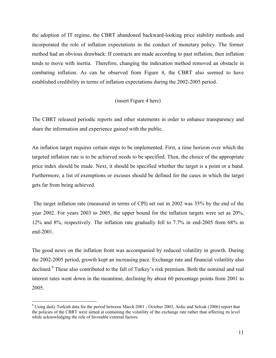the adoption of IT regime, the CBRT abandoned backward-looking price stability methods and incorporated the role of inflation expectations in the conduct of monetary policy. The former method had an obvious drawback: If contracts are made according to past inflation, then inflation tends to move with inertia. Therefore, changing the indexation method removed an obstacle in combating inflation. As can be observed from Figure 4, the CBRT also seemed to have established credibility in terms of inflation expectations during the 2002-2005 period.

# (insert Figure 4 here)

The CBRT released periodic reports and other statements in order to enhance transparency and share the information and experience gained with the public.

An inflation target requires certain steps to be implemented. First, a time horizon over which the targeted inflation rate is to be achieved needs to be specified. Then, the choice of the appropriate price index should be made. Next, it should be specified whether the target is a point or a band. Furthermore, a list of exemptions or excuses should be defined for the cases in which the target gets far from being achieved.

 The target inflation rate (measured in terms of CPI) set out in 2002 was 35% by the end of the year 2002. For years 2003 to 2005, the upper bound for the inflation targets were set as 20%, 12% and 8%, respectively. The inflation rate gradually fell to  $7.7\%$  in end-2005 from 68% in  $end-2001$ .

The good news on the inflation front was accompanied by reduced volatility in growth. During the 2002-2005 period, growth kept an increasing pace. Exchange rate and financial volatility also declined.<sup>9</sup> These also contributed to the fall of Turkey's risk premium. Both the nominal and real interest rates went down in the meantime, declining by about 60 percentage points from 2001 to 2005.

 $\overline{a}$  $9$  Using daily Turkish data for the period between March 2001 - October 2003, Ardic and Selcuk (2006) report that the policies of the CBRT were aimed at containing the volatility of the exchange rate rather than affecting its level while acknowledging the role of favorable external factors.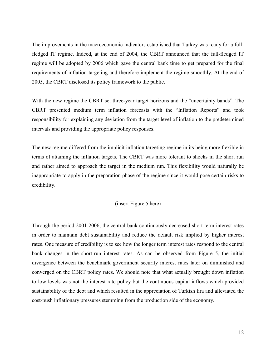The improvements in the macroeconomic indicators established that Turkey was ready for a fullfledged IT regime. Indeed, at the end of 2004, the CBRT announced that the full-fledged IT regime will be adopted by 2006 which gave the central bank time to get prepared for the final requirements of inflation targeting and therefore implement the regime smoothly. At the end of 2005, the CBRT disclosed its policy framework to the public.

With the new regime the CBRT set three-year target horizons and the "uncertainty bands". The CBRT presented medium term inflation forecasts with the "Inflation Reports" and took responsibility for explaining any deviation from the target level of inflation to the predetermined intervals and providing the appropriate policy responses.

The new regime differed from the implicit inflation targeting regime in its being more flexible in terms of attaining the inflation targets. The CBRT was more tolerant to shocks in the short run and rather aimed to approach the target in the medium run. This flexibility would naturally be inappropriate to apply in the preparation phase of the regime since it would pose certain risks to credibility.

### (insert Figure 5 here)

Through the period 2001-2006, the central bank continuously decreased short term interest rates in order to maintain debt sustainability and reduce the default risk implied by higher interest rates. One measure of credibility is to see how the longer term interest rates respond to the central bank changes in the short-run interest rates. As can be observed from Figure 5, the initial divergence between the benchmark government security interest rates later on diminished and converged on the CBRT policy rates. We should note that what actually brought down inflation to low levels was not the interest rate policy but the continuous capital inflows which provided sustainability of the debt and which resulted in the appreciation of Turkish lira and alleviated the cost-push inflationary pressures stemming from the production side of the economy.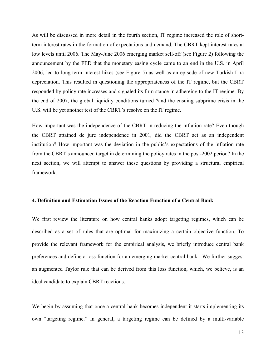As will be discussed in more detail in the fourth section, IT regime increased the role of shortterm interest rates in the formation of expectations and demand. The CBRT kept interest rates at low levels until 2006. The May-June 2006 emerging market sell-off (see Figure 2) following the announcement by the FED that the monetary easing cycle came to an end in the U.S. in April 2006, led to long-term interest hikes (see Figure 5) as well as an episode of new Turkish Lira depreciation. This resulted in questioning the appropriateness of the IT regime, but the CBRT responded by policy rate increases and signaled its firm stance in adhereing to the IT regime. By the end of 2007, the global liquidity conditions turned ?and the ensuing subprime crisis in the U.S. will be yet another test of the CBRT's resolve on the IT regime.

How important was the independence of the CBRT in reducing the inflation rate? Even though the CBRT attained de jure independence in 2001, did the CBRT act as an independent institution? How important was the deviation in the public's expectations of the inflation rate from the CBRT's announced target in determining the policy rates in the post-2002 period? In the next section, we will attempt to answer these questions by providing a structural empirical framework.

#### 4. Definition and Estimation Issues of the Reaction Function of a Central Bank

We first review the literature on how central banks adopt targeting regimes, which can be described as a set of rules that are optimal for maximizing a certain objective function. To provide the relevant framework for the empirical analysis, we briefly introduce central bank preferences and define a loss function for an emerging market central bank. We further suggest an augmented Taylor rule that can be derived from this loss function, which, we believe, is an ideal candidate to explain CBRT reactions.

We begin by assuming that once a central bank becomes independent it starts implementing its own "targeting regime." In general, a targeting regime can be defined by a multi-variable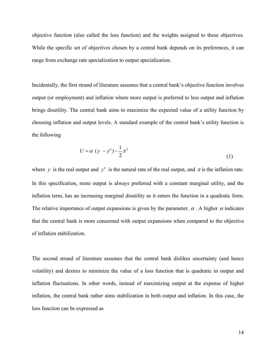objective function (also called the loss function) and the weights assigned to these objectives. While the specific set of objectives chosen by a central bank depends on its preferences, it can range from exchange rate specialization to output specialization.

Incidentally, the first strand of literature assumes that a central bank's objective function involves output (or employment) and inflation where more output is preferred to less output and inflation brings disutility. The central bank aims to maximize the expected value of a utility function by choosing inflation and output levels. A standard example of the central bank's utility function is the following

$$
U = \alpha \left( y - y^{n} \right) - \frac{1}{2} \pi^{2}
$$
\n
$$
\tag{1}
$$

where *y* is the real output and  $y^n$  is the natural rate of the real output, and  $\pi$  is the inflation rate. In this specification, more output is always preferred with a constant marginal utility, and the inflation term, has an increasing marginal disutility as it enters the function in a quadratic form. The relative importance of output expansions is given by the parameter,  $\alpha$ . A higher  $\alpha$  indicates that the central bank is more concerned with output expansions when compared to the objective of inflation stabilization.

The second strand of literature assumes that the central bank dislikes uncertainty (and hence volatility) and desires to minimize the value of a loss function that is quadratic in output and inflation fluctuations. In other words, instead of maximizing output at the expense of higher inflation, the central bank rather aims stabilization in both output and inflation. In this case, the loss function can be expressed as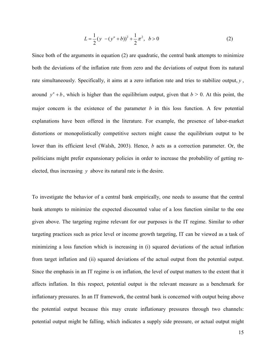$$
L = \frac{1}{2}(y - (y^n + b))^2 + \frac{1}{2}\pi^2, \quad b > 0
$$
 (2)

Since both of the arguments in equation (2) are quadratic, the central bank attempts to minimize both the deviations of the inflation rate from zero and the deviations of output from its natural rate simultaneously. Specifically, it aims at a zero inflation rate and tries to stabilize output, *y* , around  $y'' + b$ , which is higher than the equilibrium output, given that  $b > 0$ . At this point, the major concern is the existence of the parameter *b* in this loss function. A few potential explanations have been offered in the literature. For example, the presence of labor-market distortions or monopolistically competitive sectors might cause the equilibrium output to be lower than its efficient level (Walsh, 2003). Hence, *b* acts as a correction parameter. Or, the politicians might prefer expansionary policies in order to increase the probability of getting reelected, thus increasing *y* above its natural rate is the desire.

To investigate the behavior of a central bank empirically, one needs to assume that the central bank attempts to minimize the expected discounted value of a loss function similar to the one given above. The targeting regime relevant for our purposes is the IT regime. Similar to other targeting practices such as price level or income growth targeting, IT can be viewed as a task of minimizing a loss function which is increasing in (i) squared deviations of the actual inflation from target inflation and (ii) squared deviations of the actual output from the potential output. Since the emphasis in an IT regime is on inflation, the level of output matters to the extent that it affects inflation. In this respect, potential output is the relevant measure as a benchmark for inflationary pressures. In an IT framework, the central bank is concerned with output being above the potential output because this may create inflationary pressures through two channels: potential output might be falling, which indicates a supply side pressure, or actual output might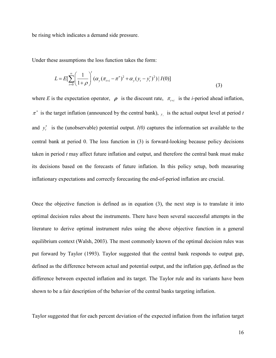be rising which indicates a demand side pressure.

Under these assumptions the loss function takes the form:

$$
L = E\left[\sum_{t=0}^{\infty} \left(\frac{1}{1+\rho}\right)^{t} \left(\alpha_{y} (\pi_{t+i} - \pi^{*})^{2} + \alpha_{y} (y_{t} - y_{t}^{*})^{2}\right) | I(0) ]\right]
$$
\n(3)

where *E* is the expectation operator,  $\rho$  is the discount rate,  $\pi_{t+i}$  is the *i*-period ahead inflation,  $\pi^*$  is the target inflation (announced by the central bank),  $y_t$  is the actual output level at period *t* and  $y_t^*$  is the (unobservable) potential output.  $I(0)$  captures the information set available to the central bank at period  $0$ . The loss function in  $(3)$  is forward-looking because policy decisions taken in period *t* may affect future inflation and output, and therefore the central bank must make its decisions based on the forecasts of future inflation. In this policy setup, both measuring inflationary expectations and correctly forecasting the end-of-period inflation are crucial.

Once the objective function is defined as in equation (3), the next step is to translate it into optimal decision rules about the instruments. There have been several successful attempts in the literature to derive optimal instrument rules using the above objective function in a general equilibrium context (Walsh, 2003). The most commonly known of the optimal decision rules was put forward by Taylor (1993). Taylor suggested that the central bank responds to output gap, defined as the difference between actual and potential output, and the inflation gap, defined as the difference between expected inflation and its target. The Taylor rule and its variants have been shown to be a fair description of the behavior of the central banks targeting inflation.

Taylor suggested that for each percent deviation of the expected inflation from the inflation target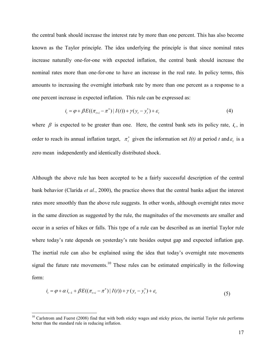the central bank should increase the interest rate by more than one percent. This has also become known as the Taylor principle. The idea underlying the principle is that since nominal rates increase naturally one-for-one with expected inflation, the central bank should increase the nominal rates more than one-for-one to have an increase in the real rate. In policy terms, this amounts to increasing the overnight interbank rate by more than one percent as a response to a one percent increase in expected inflation. This rule can be expressed as:

$$
i_{t} = \varphi + \beta E((\pi_{t+i} - \pi^{*}) | I(t)) + \gamma (y_{t} - y_{t}^{*}) + \varepsilon_{t}
$$
\n(4)

where  $\beta$  is expected to be greater than one. Here, the central bank sets its policy rate,  $i_t$ , in order to reach its annual inflation target,  $\pi_t^*$  given the information set  $I(t)$  at period t and  $\varepsilon_t$  is a zero mean independently and identically distributed shock.

Although the above rule has been accepted to be a fairly successful description of the central bank behavior (Clarida *et al.*, 2000), the practice shows that the central banks adjust the interest rates more smoothly than the above rule suggests. In other words, although overnight rates move in the same direction as suggested by the rule, the magnitudes of the movements are smaller and occur in a series of hikes or falls. This type of a rule can be described as an inertial Taylor rule where today's rate depends on yesterday's rate besides output gap and expected inflation gap. The inertial rule can also be explained using the idea that today's overnight rate movements signal the future rate movements.<sup>10</sup> These rules can be estimated empirically in the following form:

$$
i_{t} = \varphi + \alpha i_{t-1} + \beta E((\pi_{t+i} - \pi^{*}) | I(t)) + \gamma (\gamma_{t} - \gamma_{t}^{*}) + \varepsilon_{t}
$$
\n(5)

<sup>&</sup>lt;sup>10</sup> Carlstrom and Fuerst (2008) find that with both sticky wages and sticky prices, the inertial Taylor rule performs better than the standard rule in reducing inflation.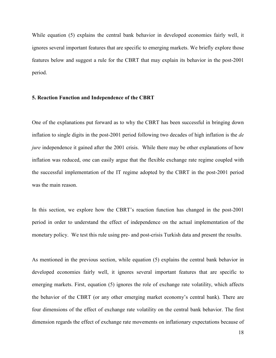While equation (5) explains the central bank behavior in developed economies fairly well, it ignores several important features that are specific to emerging markets. We briefly explore those features below and suggest a rule for the CBRT that may explain its behavior in the post-2001 period.

#### 5. Reaction Function and Independence of the CBRT

One of the explanations put forward as to why the CBRT has been successful in bringing down inflation to single digits in the post-2001 period following two decades of high inflation is the *de jure* independence it gained after the 2001 crisis. While there may be other explanations of how inflation was reduced, one can easily argue that the flexible exchange rate regime coupled with the successful implementation of the IT regime adopted by the CBRT in the post-2001 period was the main reason.

In this section, we explore how the CBRT's reaction function has changed in the post-2001 period in order to understand the effect of independence on the actual implementation of the monetary policy. We test this rule using pre- and post-crisis Turkish data and present the results.

As mentioned in the previous section, while equation (5) explains the central bank behavior in developed economies fairly well, it ignores several important features that are specific to emerging markets. First, equation (5) ignores the role of exchange rate volatility, which affects the behavior of the CBRT (or any other emerging market economy's central bank). There are four dimensions of the effect of exchange rate volatility on the central bank behavior. The first dimension regards the effect of exchange rate movements on inflationary expectations because of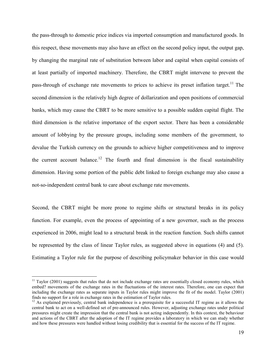the pass-through to domestic price indices via imported consumption and manufactured goods. In this respect, these movements may also have an effect on the second policy input, the output gap, by changing the marginal rate of substitution between labor and capital when capital consists of at least partially of imported machinery. Therefore, the CBRT might intervene to prevent the pass-through of exchange rate movements to prices to achieve its preset inflation target.<sup>11</sup> The second dimension is the relatively high degree of dollarization and open positions of commercial banks, which may cause the CBRT to be more sensitive to a possible sudden capital flight. The third dimension is the relative importance of the export sector. There has been a considerable amount of lobbying by the pressure groups, including some members of the government, to devalue the Turkish currency on the grounds to achieve higher competitiveness and to improve the current account balance.<sup>12</sup> The fourth and final dimension is the fiscal sustainability dimension. Having some portion of the public debt linked to foreign exchange may also cause a not-so-independent central bank to care about exchange rate movements.

Second, the CBRT might be more prone to regime shifts or structural breaks in its policy function. For example, even the process of appointing of a new governor, such as the process experienced in 2006, might lead to a structural break in the reaction function. Such shifts cannot be represented by the class of linear Taylor rules, as suggested above in equations (4) and (5). Estimating a Taylor rule for the purpose of describing policymaker behavior in this case would

 $11$  Taylor (2001) suggests that rules that do not include exchange rates are essentially closed economy rules, which embed? movements of the exchange rates in the fluctuations of the interest rates. Therefore, one can expect that including the exchange rates as separate inputs in Taylor rules might improve the fit of the model. Taylor (2001) finds no support for a role in exchange rates in the estimation of Taylor rules.

<sup>&</sup>lt;sup>12</sup> As explained previously, central bank independence is a prerequisite for a successful IT regime as it allows the central bank to act on a well-defined set of pre-announced rules. However, adjusting exchange rates under political pressures might create the impression that the central bank is not acting independently. In this context, the behaviour and actions of the CBRT after the adoption of the IT regime provides a laboratory in which we can study whether and how these pressures were handled without losing credibility that is essential for the success of the IT regime.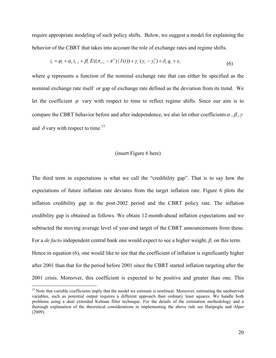require appropriate modeling of such policy shifts. Below, we suggest a model for explaining the behavior of the CBRT that takes into account the role of exchange rates and regime shifts.

$$
i_{t} = \varphi_{t} + \alpha_{t} i_{t-1} + \beta_{t} E((\pi_{t+i} - \pi^{*}) | I(t)) + \gamma_{t} (y_{t} - y_{t}^{*}) + \delta_{t} q_{t} + \varepsilon_{t}
$$
\n(6)

where *q* represents a function of the nominal exchange rate that can either be specified as the nominal exchange rate itself or gap of exchange rate defined as the deviation from its trend. We let the coefficient  $\varphi$  vary with respect to time to reflect regime shifts. Since our aim is to compare the CBRT behavior before and after independence, we also let other coefficients  $\alpha$ ,  $\beta$ ,  $\gamma$ and  $\delta$  vary with respect to time.<sup>13</sup>

#### (insert Figure 6 here)

The third term in expectations is what we call the "credibility gap". That is to say how the expectations of future inflation rate deviates from the target inflation rate. Figure 6 plots the inflation credibility gap in the post-2002 period and the CBRT policy rate. The inflation credibility gap is obtained as follows. We obtain 12-month-ahead inflation expectations and we subtracted the moving average level of year-end target of the CBRT announcements from these. For a *de facto* independent central bank one would expect to see a higher weight, *β,* on this term. Hence in equation (6), one would like to see that the coefficient of inflation is significantly higher after 2001 than that for the period before 2001 since the CBRT started inflation targeting after the 2001 crisis. Moreover, this coefficient is expected to be positive and greater than one. This

<sup>&</sup>lt;sup>13</sup> Note that variable coefficients imply that the model we estimate is nonlinear. Moreover, estimating the unobserved variables, such as potential output requires a different approach than ordinary least squares. We handle both problems using a dual extended Kalman filter technique. For the details of the estimation methodology and a thorough explanation of the theoretical considerations in implementing the above rule see Hatipoglu and Alper (2009).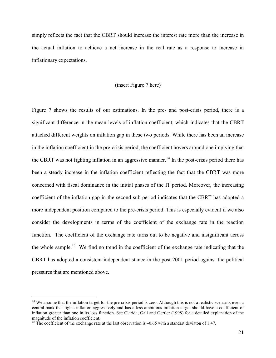simply reflects the fact that the CBRT should increase the interest rate more than the increase in the actual inflation to achieve a net increase in the real rate as a response to increase in inflationary expectations.

#### (insert Figure 7 here)

Figure 7 shows the results of our estimations. In the pre- and post-crisis period, there is a significant difference in the mean levels of inflation coefficient, which indicates that the CBRT attached different weights on inflation gap in these two periods. While there has been an increase in the inflation coefficient in the pre-crisis period, the coefficient hovers around one implying that the CBRT was not fighting inflation in an aggressive manner.<sup>14</sup> In the post-crisis period there has been a steady increase in the inflation coefficient reflecting the fact that the CBRT was more concerned with fiscal dominance in the initial phases of the IT period. Moreover, the increasing coefficient of the inflation gap in the second sub-period indicates that the CBRT has adopted a more independent position compared to the pre-crisis period. This is especially evident if we also consider the developments in terms of the coefficient of the exchange rate in the reaction function. The coefficient of the exchange rate turns out to be negative and insignificant across the whole sample.<sup>15</sup> We find no trend in the coefficient of the exchange rate indicating that the CBRT has adopted a consistent independent stance in the post-2001 period against the political pressures that are mentioned above.

<sup>&</sup>lt;sup>14</sup> We assume that the inflation target for the pre-crisis period is zero. Although this is not a realistic scenario, even a central bank that fights inflation aggressively and has a less ambitious inflation target should have a coefficient of inflation greater than one in its loss function. See Clarida, Gali and Gertler (1998) for a detailed explanation of the magnitude of the inflation coefficient.

<sup>&</sup>lt;sup>15</sup> The coefficient of the exchange rate at the last observation is  $-0.65$  with a standart deviaton of 1.47.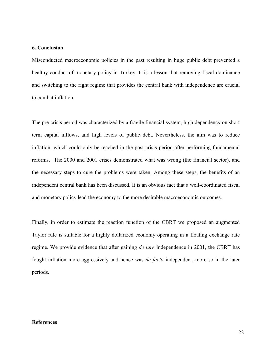#### 6. Conclusion

Misconducted macroeconomic policies in the past resulting in huge public debt prevented a healthy conduct of monetary policy in Turkey. It is a lesson that removing fiscal dominance and switching to the right regime that provides the central bank with independence are crucial to combat inflation.

The pre-crisis period was characterized by a fragile financial system, high dependency on short term capital inflows, and high levels of public debt. Nevertheless, the aim was to reduce inflation, which could only be reached in the post-crisis period after performing fundamental reforms. The 2000 and 2001 crises demonstrated what was wrong (the financial sector), and the necessary steps to cure the problems were taken. Among these steps, the benefits of an independent central bank has been discussed. It is an obvious fact that a well-coordinated fiscal and monetary policy lead the economy to the more desirable macroeconomic outcomes.

Finally, in order to estimate the reaction function of the CBRT we proposed an augmented Taylor rule is suitable for a highly dollarized economy operating in a floating exchange rate regime. We provide evidence that after gaining *de jure* independence in 2001, the CBRT has fought inflation more aggressively and hence was *de facto* independent, more so in the later periods.

#### **References**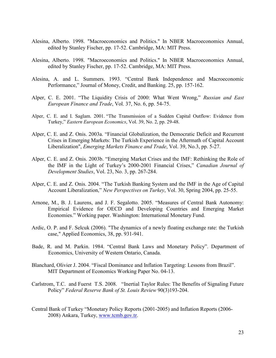- Alesina, Alberto. 1998. "Macroeconomics and Politics." In NBER Macroeconomics Annual, edited by Stanley Fischer, pp. 17-52. Cambridge, MA: MIT Press.
- Alesina, Alberto. 1998. "Macroeconomics and Politics." In NBER Macroeconomics Annual, edited by Stanley Fischer, pp. 17-52. Cambridge, MA: MIT Press.
- Alesina, A. and L. Summers. 1993. "Central Bank Independence and Macroeconomic Performance," Journal of Money, Credit, and Banking. 25, pp. 157-162.
- Alper, C. E. 2001. "The Liquidity Crisis of 2000: What Went Wrong," *Russian and East European Finance and Trade, Vol. 37, No. 6, pp. 54-75.*
- Alper, C. E. and I. Saglam. 2001. "The Transmission of a Sudden Capital Outflow: Evidence from Turkey," *Eastern European Economics*, Vol. 39, No. 2, pp. 29-48.
- Alper, C. E. and Z. Onis. 2003a. "Financial Globalization, the Democratic Deficit and Recurrent Crises in Emerging Markets: The Turkish Experience in the Aftermath of Capital Account Liberalization", *Emerging Markets Finance and Trade*, Vol. 39, No.3, pp. 5-27.
- Alper, C. E. and Z. Onis. 2003b. "Emerging Market Crises and the IMF: Rethinking the Role of the IMF in the Light of Turkey's 2000-2001 Financial Crises," *Canadian Journal of Development Studies*, Vol. 23, No. 3, pp. 267-284.
- Alper, C. E. and Z. Onis. 2004. "The Turkish Banking System and the IMF in the Age of Capital Account Liberalization," *New Perspectives on Turkey*, Vol. 30, Spring 2004, pp. 25-55.
- Arnone, M., B. J. Laurens, and J. F. Segalotto. 2005. "Measures of Central Bank Autonomy: Empirical Evidence for OECD and Developing Countries and Emerging Market Economies." Working paper. Washington: International Monetary Fund.
- Ardic, O. P. and F. Selcuk (2006). "The dynamics of a newly floating exchange rate: the Turkish case," Applied Economics, 38, pp. 931-941.
- Bade, R. and M. Parkin. 1984. "Central Bank Laws and Monetary Policy". Department of Economics, University of Western Ontario, Canada.
- Blanchard, Olivier J. 2004. "Fiscal Dominance and Inflation Targeting: Lessons from Brazil". MIT Department of Economics Working Paper No. 04-13.
- Carlstrom, T.C. and Fuerst T.S. 2008. "Inertial Taylor Rules: The Benefits of Signaling Future Policy" *Federal Reserve Bank of St. Louis Review* 90(3)193-204.
- Central Bank of Turkey "Monetary Policy Reports (2001-2005) and Inflation Reports (2006-2008) Ankara, Turkey, www.tcmb.gov.tr.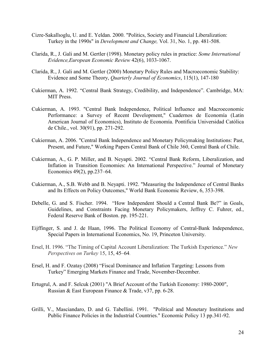- Cizre-Sakallioglu, U. and E. Yeldan. 2000. "Politics, Society and Financial Liberalization: Turkey in the 1990s" in *Development and Change*, Vol. 31, No. 1, pp. 481-508.
- Clarida, R., J. Gali and M. Gertler (1998). Monetary policy rules in practice: *Some International Evidence, European Economic Review* 42(6), 1033-1067.
- Clarida, R., J. Gali and M. Gertler (2000) Monetary Policy Rules and Macroeconomic Stability: Evidence and Some Theory, *Quarterly Journal of Economics*, 115(1), 147-180
- Cukierman, A. 1992. "Central Bank Strategy, Credibility, and Independence". Cambridge, MA: MIT Press.
- Cukierman, A. 1993. "Central Bank Independence, Political Influence and Macroeconomic Performance: a Survey of Recent Development," Cuadernos de Economía (Latin American Journal of Economics), Instituto de Economía. Pontificia Universidad Católica de Chile., vol. 30(91), pp. 271-292.
- Cukierman, A. 2006. "Central Bank Independence and Monetary Policymaking Institutions: Past, Present, and Future," Working Papers Central Bank of Chile 360, Central Bank of Chile.
- Cukierman, A., G. P. Miller, and B. Neyapti. 2002. "Central Bank Reform, Liberalization, and Inflation in Transition Economies: An International Perspective." Journal of Monetary Economics 49(2), pp.237–64.
- Cukierman, A., S.B. Webb and B. Neyapti. 1992. "Measuring the Independence of Central Banks and Its Effects on Policy Outcomes," World Bank Economic Review, 6, 353-398.
- Debelle, G. and S. Fischer. 1994. "How Independent Should a Central Bank Be?" in Goals, Guidelines, and Constraints Facing Monetary Policymakers, Jeffrey C. Fuhrer, ed., Federal Reserve Bank of Boston. pp. 195-221.
- Eijffinger, S. and J. de Haan, 1996. The Political Economy of Central-Bank Independence, Special Papers in International Economics, No. 19, Princeton University.
- Ersel, H. 1996. "The Timing of Capital Account Liberalization: The Turkish Experience." *New Perspectives on Turkey* 15, 15, 45–64.
- Ersel, H. and F. Ozatay (2008) "Fiscal Dominance and Inflation Targeting: Lessons from Turkey" Emerging Markets Finance and Trade, November-December.
- Ertugrul, A. and F. Selcuk  $(2001)$  "A Brief Account of the Turkish Economy: 1980-2000", Russian & East European Finance & Trade,  $v37$ , pp. 6-28.
- Grilli, V., Masciandaro, D. and G. Tabellini. 1991. "Political and Monetary Institutions and Public Finance Policies in the Industrial Countries." Economic Policy 13 pp.341-92.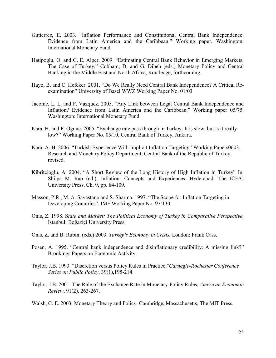- Gutierrez, E. 2003. "Inflation Performance and Constitutional Central Bank Independence: Evidence from Latin America and the Caribbean." Working paper. Washington: International Monetary Fund.
- Hatipoglu, O. and C. E. Alper. 2009. "Estimating Central Bank Behavior in Emerging Markets: The Case of Turkey," Cobham, D. and G. Dibeh (eds.) Monetary Policy and Central Banking in the Middle East and North Africa, Routledge, forthcoming.
- Hayo, B. and C. Hefeker. 2001. "Do We Really Need Central Bank Independence? A Critical Re1 examination" University of Basel WWZ Working Paper No. 01/03
- Jacome, L. I., and F. Vazquez. 2005. "Any Link between Legal Central Bank Independence and Inflation? Evidence from Latin America and the Caribbean." Working paper 05/75. Washington: International Monetary Fund.
- Kara, H. and F. Ogunc. 2005. "Exchange rate pass through in Turkey: It is slow, but is it really low?" Working Paper No. 05/10, Central Bank of Turkey, Ankara.
- Kara, A. H. 2006. "Turkish Experience With Implicit Inflation Targeting" Working Papers0603, Research and Monetary Policy Department, Central Bank of the Republic of Turkey, revised.
- Kibritcioglu, A. 2004. "A Short Review of the Long History of High Inflation in Turkey" In: Shilpa M. Rao (ed.), Inflation: Concepts and Experiences, Hyderabad: The ICFAI University Press, Ch. 9, pp. 84-109.
- Masson, P.R., M. A. Savastano and S. Sharma. 1997. "The Scope for Inflation Targeting in Developing Countries". IMF Working Paper No. 97/130.
- Onis, Z. 1998. S*tate and Market: The Political Economy of Turkey in Comparative Perspective*, Istanbul: Boğaziçi University Press.
- Onis, Z. and B. Rubin. (eds.) 2003. *Turkey's Economy in Crisis,* London: Frank Cass.
- Posen, A. 1995. "Central bank independence and disinflationary credibility: A missing link?" Brookings Papers on Economic Activity.
- Taylor, J.B. 1993. "Discretion versus Policy Rules in Practice,"Carnegie-Rochester Conference *Series on Public Policy*, 39(1), 195-214.
- Taylor, J.B. 2001. The Role of the Exchange Rate in Monetary-Policy Rules, *American Economic Review*, 91(2), 263-267.
- Walsh, C. E. 2003. Monetary Theory and Policy. Cambridge, Massachusetts, The MIT Press.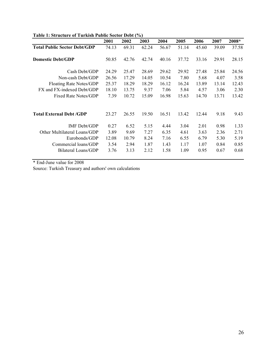| Table 1: Structure of Turkish Public Sector Debt (%) |  |  |  |  |  |  |  |  |
|------------------------------------------------------|--|--|--|--|--|--|--|--|
|------------------------------------------------------|--|--|--|--|--|--|--|--|

|                                     | 2001  | 2002  | 2003  | 2004  | 2005  | 2006  | 2007  | 2008* |
|-------------------------------------|-------|-------|-------|-------|-------|-------|-------|-------|
| <b>Total Public Sector Debt/GDP</b> | 74.13 | 69.31 | 62.24 | 56.67 | 51.14 | 45.60 | 39.09 | 37.58 |
| <b>Domestic Debt/GDP</b>            | 50.85 | 42.76 | 42.74 | 40.16 | 37.72 | 33.16 | 29.91 | 28.15 |
| Cash Debt/GDP                       | 24.29 | 25.47 | 28.69 | 29.62 | 29.92 | 27.48 | 25.84 | 24.56 |
| Non-cash Debt/GDP                   | 26.56 | 17.29 | 14.05 | 10.54 | 7.80  | 5.68  | 4.07  | 3.58  |
| Floating Rate Notes/GDP             | 25.37 | 18.29 | 18.29 | 16.12 | 16.24 | 13.89 | 13.14 | 12.43 |
| FX and FX-indexed Debt/GDP          | 18.10 | 13.75 | 9.37  | 7.06  | 5.84  | 4.57  | 3.06  | 2.30  |
| Fixed Rate Notes/GDP                | 7.39  | 10.72 | 15.09 | 16.98 | 15.63 | 14.70 | 13.71 | 13.42 |
| <b>Total External Debt /GDP</b>     | 23.27 | 26.55 | 19.50 | 16.51 | 13.42 | 12.44 | 9.18  | 9.43  |
| IMF Debt/GDP                        | 0.27  | 6.52  | 5.15  | 4.44  | 3.04  | 2.01  | 0.98  | 1.33  |
| Other Multilateral Loans/GDP        | 3.89  | 9.69  | 7.27  | 6.35  | 4.61  | 3.63  | 2.36  | 2.71  |
| Eurobonds/GDP                       | 12.08 | 10.79 | 8.24  | 7.16  | 6.55  | 6.79  | 5.30  | 5.19  |
| Commercial loans/GDP                | 3.54  | 2.94  | 1.87  | 1.43  | 1.17  | 1.07  | 0.84  | 0.85  |
| Bilateral Loans/GDP                 | 3.76  | 3.13  | 2.12  | 1.58  | 1.09  | 0.95  | 0.67  | 0.68  |
|                                     |       |       |       |       |       |       |       |       |

\* End-June value for 2008

Source: Turkish Treasury and authors' own calculations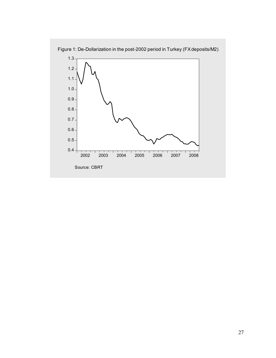

Figure 1: De-Dollarization in the post-2002 period in Turkey (FX deposits/M2)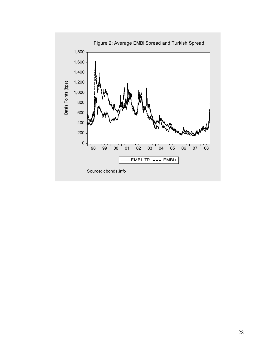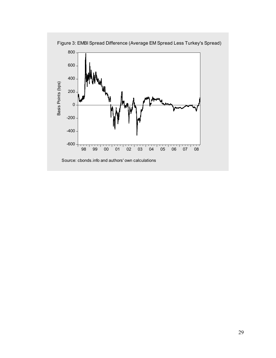

Figure 3: EMBI Spread Difference (Average EM Spread Less Turkey's Spread)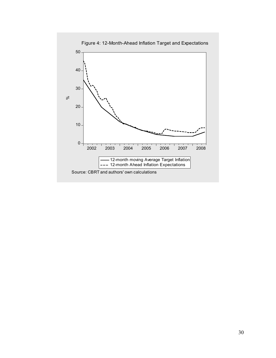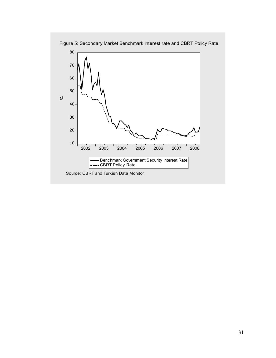

Figure 5: Secondary Market Benchmark Interest rate and CBRT Policy Rate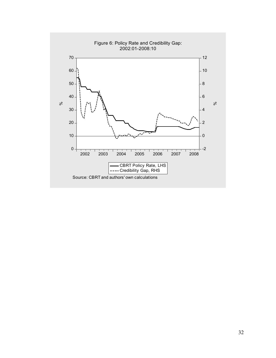